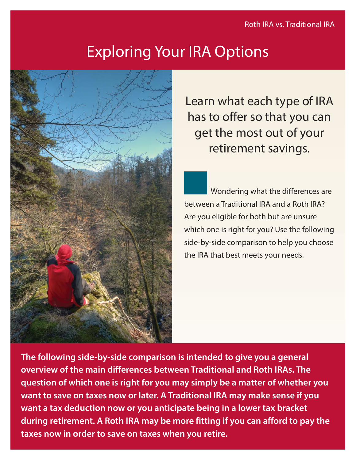## Exploring Your IRA Options



Learn what each type of IRA has to offer so that you can get the most out of your retirement savings.

Wondering what the differences are between a Traditional IRA and a Roth IRA? Are you eligible for both but are unsure which one is right for you? Use the following side-by-side comparison to help you choose the IRA that best meets your needs.

**The following side-by-side comparison is intended to give you a general overview of the main differences between Traditional and Roth IRAs. The question of which one is right for you may simply be a matter of whether you want to save on taxes now or later. A Traditional IRA may make sense if you want a tax deduction now or you anticipate being in a lower tax bracket during retirement. A Roth IRA may be more fitting if you can afford to pay the taxes now in order to save on taxes when you retire.**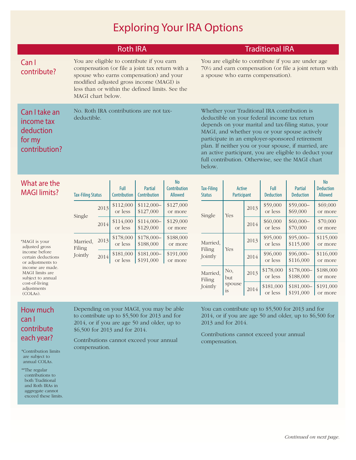## Exploring Your IRA Options

|                                                                     | <b>Roth IRA</b>                                                                                                                                                                                                                                              | <b>Traditional IRA</b>                                                                                                                                                                                                                                                                                                                                                                                                                  |  |  |  |  |  |
|---------------------------------------------------------------------|--------------------------------------------------------------------------------------------------------------------------------------------------------------------------------------------------------------------------------------------------------------|-----------------------------------------------------------------------------------------------------------------------------------------------------------------------------------------------------------------------------------------------------------------------------------------------------------------------------------------------------------------------------------------------------------------------------------------|--|--|--|--|--|
| Can I<br>contribute?                                                | You are eligible to contribute if you earn<br>compensation (or file a joint tax return with a<br>spouse who earns compensation) and your<br>modified adjusted gross income (MAGI) is<br>less than or within the defined limits. See the<br>MAGI chart below. | You are eligible to contribute if you are under age<br>70½ and earn compensation (or file a joint return with<br>a spouse who earns compensation).                                                                                                                                                                                                                                                                                      |  |  |  |  |  |
| Can I take an<br>income tax<br>deduction<br>for my<br>contribution? | No. Roth IRA contributions are not tax-<br>deductible.                                                                                                                                                                                                       | Whether your Traditional IRA contribution is<br>deductible on your federal income tax return<br>depends on your marital and tax-filing status, your<br>MAGI, and whether you or your spouse actively<br>participate in an employer-sponsored retirement<br>plan. If neither you or your spouse, if married, are<br>an active participant, you are eligible to deduct your<br>full contribution. Otherwise, see the MAGI chart<br>below. |  |  |  |  |  |
| What are the                                                        | Full<br><b>Partial</b>                                                                                                                                                                                                                                       | <b>Tax-Filing</b><br>Full<br><b>Active</b><br><b>Partial</b>                                                                                                                                                                                                                                                                                                                                                                            |  |  |  |  |  |

| <b>MAGI limits?</b>                                                                                                                                                                                  |                               | <b>Tax-Filing Status</b> |                      | Partial<br>Contribution  | Contribution<br>Allowed | Tax-Filing<br><b>Status</b> | Active<br>Participant      |      | Full<br><b>Deduction</b> | <b>Partial</b><br><b>Deduction</b> | <b>Deduction</b><br>Allowed |
|------------------------------------------------------------------------------------------------------------------------------------------------------------------------------------------------------|-------------------------------|--------------------------|----------------------|--------------------------|-------------------------|-----------------------------|----------------------------|------|--------------------------|------------------------------------|-----------------------------|
|                                                                                                                                                                                                      | Single                        | 2013                     | \$112,000<br>or less | $$112,000-$<br>\$127,000 | \$127,000<br>or more    | Single                      | Yes                        | 2013 | \$59,000<br>or less      | $$59,000-$<br>\$69,000             | \$69,000<br>or more         |
|                                                                                                                                                                                                      |                               | 2014                     | \$114,000<br>or less | $$114,000-$<br>\$129,000 | \$129,000<br>or more    |                             |                            | 2014 | \$60,000<br>or less      | $$60,000-$<br>\$70,000             | \$70,000<br>or more         |
| *MAGI is your<br>adjusted gross<br>income before<br>certain deductions<br>or adjustments to<br>income are made.<br>MAGI limits are<br>subject to annual<br>cost-of-living<br>adjustments<br>(COLAs). | Married,<br>Filing<br>Jointly | 2013                     | \$178,000<br>or less | $$178,000-$<br>\$188,000 | \$188,000<br>or more    | Married,<br>Filing          | Yes                        | 2013 | \$95,000<br>or less      | $$95,000-$<br>\$115,000            | \$115,000<br>or more        |
|                                                                                                                                                                                                      |                               | 2014                     | \$181,000<br>or less | $$181,000-$<br>\$191,000 | \$191,000<br>or more    | Jointly                     |                            | 2014 | \$96,000<br>or less      | $$96,000-$<br>\$116,000            | \$116,000<br>or more        |
|                                                                                                                                                                                                      |                               |                          |                      |                          |                         | Married,<br>Filing          | No,<br>but<br>spouse<br>is | 2013 | \$178,000<br>or less     | $$178,000-$<br>\$188,000           | \$188,000<br>or more        |
|                                                                                                                                                                                                      |                               |                          |                      |                          |                         | Jointly                     |                            | 2014 | \$181,000<br>or less     | $$181,000-$<br>\$191,000           | \$191,000<br>or more        |

## How much can I contribute each year?

\*Contribution limits are subject to annual COLAs.

\*\*The regular contributions to both Traditional and Roth IRAs in aggregate cannot exceed these limits. Depending on your MAGI, you may be able to contribute up to \$5,500 for 2013 and for 2014, or if you are age 50 and older, up to \$6,500 for 2013 and for 2014.

Contributions cannot exceed your annual compensation.

You can contribute up to \$5,500 for 2013 and for 2014, or if you are age 50 and older, up to \$6,500 for 2013 and for 2014.

Contributions cannot exceed your annual compensation.